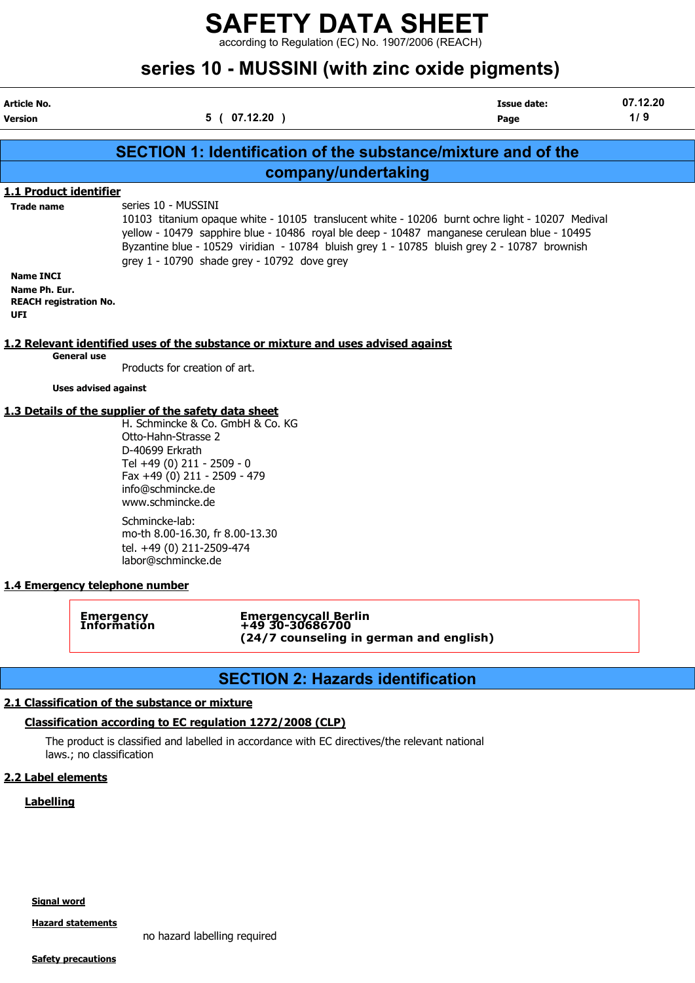according to Regulation (EC) No. 1907/2006 (REACH)

|                                                                                                       |                                                                            | series 10 - MUSSINI (with zinc oxide pigments)                                                                                                                                                                                                       |                                                                                                                                                                                                                                                                                                |                 |
|-------------------------------------------------------------------------------------------------------|----------------------------------------------------------------------------|------------------------------------------------------------------------------------------------------------------------------------------------------------------------------------------------------------------------------------------------------|------------------------------------------------------------------------------------------------------------------------------------------------------------------------------------------------------------------------------------------------------------------------------------------------|-----------------|
| Article No.<br><b>Version</b>                                                                         |                                                                            | 5(07.12.20)                                                                                                                                                                                                                                          | <b>Issue date:</b><br>Page                                                                                                                                                                                                                                                                     | 07.12.20<br>1/9 |
|                                                                                                       |                                                                            |                                                                                                                                                                                                                                                      | SECTION 1: Identification of the substance/mixture and of the                                                                                                                                                                                                                                  |                 |
|                                                                                                       |                                                                            | company/undertaking                                                                                                                                                                                                                                  |                                                                                                                                                                                                                                                                                                |                 |
| 1.1 Product identifier                                                                                |                                                                            |                                                                                                                                                                                                                                                      |                                                                                                                                                                                                                                                                                                |                 |
| <b>Trade name</b><br><b>Name INCI</b><br>Name Ph. Eur.<br><b>REACH registration No.</b><br><b>UFI</b> |                                                                            | series 10 - MUSSINI<br>grey $1 - 10790$ shade grey - 10792 dove grey                                                                                                                                                                                 | 10103 titanium opaque white - 10105 translucent white - 10206 burnt ochre light - 10207 Medival<br>yellow - 10479 sapphire blue - 10486 royal ble deep - 10487 manganese cerulean blue - 10495<br>Byzantine blue - 10529 viridian - 10784 bluish grey 1 - 10785 bluish grey 2 - 10787 brownish |                 |
|                                                                                                       |                                                                            | 1.2 Relevant identified uses of the substance or mixture and uses advised against                                                                                                                                                                    |                                                                                                                                                                                                                                                                                                |                 |
|                                                                                                       | <b>General use</b>                                                         | Products for creation of art.                                                                                                                                                                                                                        |                                                                                                                                                                                                                                                                                                |                 |
|                                                                                                       | <b>Uses advised against</b>                                                |                                                                                                                                                                                                                                                      |                                                                                                                                                                                                                                                                                                |                 |
|                                                                                                       |                                                                            | 1.3 Details of the supplier of the safety data sheet                                                                                                                                                                                                 |                                                                                                                                                                                                                                                                                                |                 |
|                                                                                                       | D-40699 Erkrath<br>Schmincke-lab:                                          | H. Schmincke & Co. GmbH & Co. KG<br>Otto-Hahn-Strasse 2<br>Tel +49 (0) 211 - 2509 - 0<br>Fax +49 (0) 211 - 2509 - 479<br>info@schmincke.de<br>www.schmincke.de<br>mo-th 8.00-16.30, fr 8.00-13.30<br>tel. +49 (0) 211-2509-474<br>labor@schmincke.de |                                                                                                                                                                                                                                                                                                |                 |
|                                                                                                       | 1.4 Emergency telephone number                                             |                                                                                                                                                                                                                                                      |                                                                                                                                                                                                                                                                                                |                 |
|                                                                                                       | Emergency<br>Information                                                   | Emergencycall Berlin<br>+49 30-30686700<br>(24/7 counseling in german and english)                                                                                                                                                                   |                                                                                                                                                                                                                                                                                                |                 |
|                                                                                                       |                                                                            | <b>SECTION 2: Hazards identification</b>                                                                                                                                                                                                             |                                                                                                                                                                                                                                                                                                |                 |
|                                                                                                       | 2.1 Classification of the substance or mixture<br>laws.; no classification | Classification according to EC regulation 1272/2008 (CLP)<br>The product is classified and labelled in accordance with EC directives/the relevant national                                                                                           |                                                                                                                                                                                                                                                                                                |                 |
| 2.2 Label elements                                                                                    |                                                                            |                                                                                                                                                                                                                                                      |                                                                                                                                                                                                                                                                                                |                 |
| <b>Labelling</b>                                                                                      |                                                                            |                                                                                                                                                                                                                                                      |                                                                                                                                                                                                                                                                                                |                 |
|                                                                                                       |                                                                            |                                                                                                                                                                                                                                                      |                                                                                                                                                                                                                                                                                                |                 |

Signal word

Hazard statements

no hazard labelling required

**Safety precautions**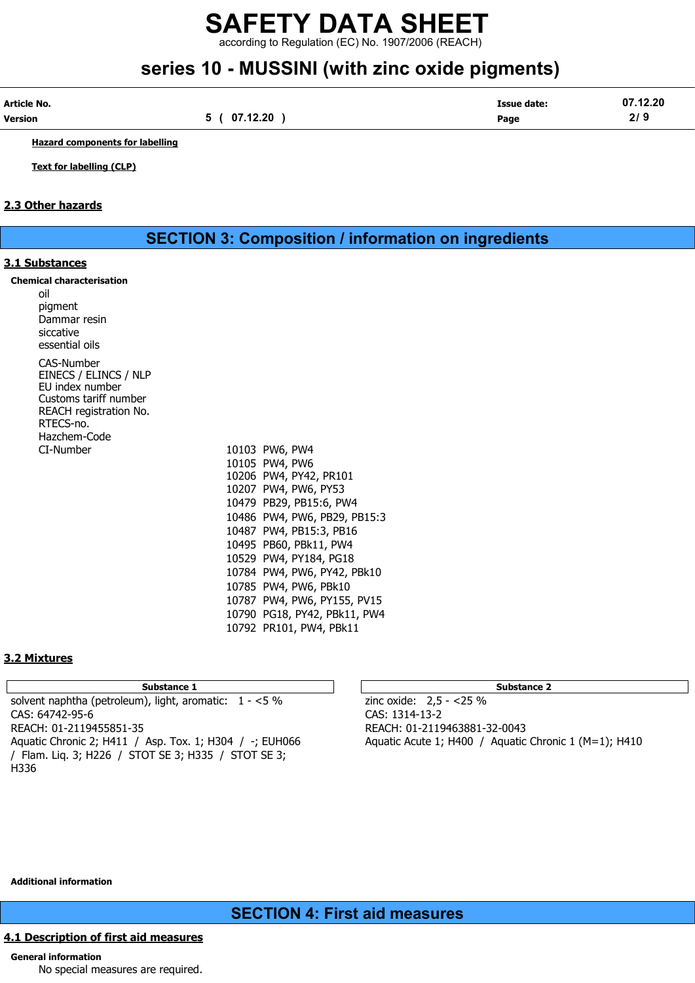according to Regulation (EC) No. 1907/2006 (REACH)

# series 10 - MUSSINI (with zinc oxide pigments)

| Article No. |              | Issue date: | 07.12.20     |
|-------------|--------------|-------------|--------------|
| Version     | .12.20<br>07 | Page        | 21 C<br>21 J |

Hazard components for labelling

Text for labelling (CLP)

### 2.3 Other hazards

SECTION 3: Composition / information on ingredients

10784 PW4, PW6, PY42, PBk10 10785 PW4, PW6, PBk10 10787 PW4, PW6, PY155, PV15 10790 PG18, PY42, PBk11, PW4 10792 PR101, PW4, PBk11

PB29, PB15:3

### 3.1 Substances

|     | <b>Chemical characterisation</b> |
|-----|----------------------------------|
| oil |                                  |

| υıι<br>pigment<br>Dammar resin<br>siccative<br>essential oils                                                                          |                         |
|----------------------------------------------------------------------------------------------------------------------------------------|-------------------------|
| CAS-Number<br>EINECS / ELINCS / NLP<br>EU index number<br>Customs tariff number<br>REACH registration No.<br>RTECS-no.<br>Hazchem-Code |                         |
| CI-Number                                                                                                                              | 10103 PW6, PW4          |
|                                                                                                                                        | 10105 PW4, PW6          |
|                                                                                                                                        | 10206 PW4, PY42, PR101  |
|                                                                                                                                        | 10207 PW4, PW6, PY53    |
|                                                                                                                                        | 10479 PB29, PB15:6, PW4 |
|                                                                                                                                        | 10486 PW4, PW6, PB29, P |
|                                                                                                                                        | 10487 PW4, PB15:3, PB16 |
|                                                                                                                                        | 10495 PB60, PBk11, PW4  |
|                                                                                                                                        | 10529 PW4, PY184, PG18  |

### 3.2 Mixtures

Substance 1 Substance 2 Substance 2 solvent naphtha (petroleum), light, aromatic:  $1 - 5\%$  zinc oxide:  $2.5 - 25\%$ CAS: 64742-95-6 CAS: 1314-13-2 REACH: 01-2119455851-35 REACH: 01-2119463881-32-0043 Aquatic Chronic 2; H411 / Asp. Tox. 1; H304 / -; EUH066 Aquatic Acute 1; H400 / Aquatic Chronic 1 (M=1); H410 / Flam. Liq. 3; H226 / STOT SE 3; H335 / STOT SE 3; H336

Additional information

### SECTION 4: First aid measures

### 4.1 Description of first aid measures

### General information

No special measures are required.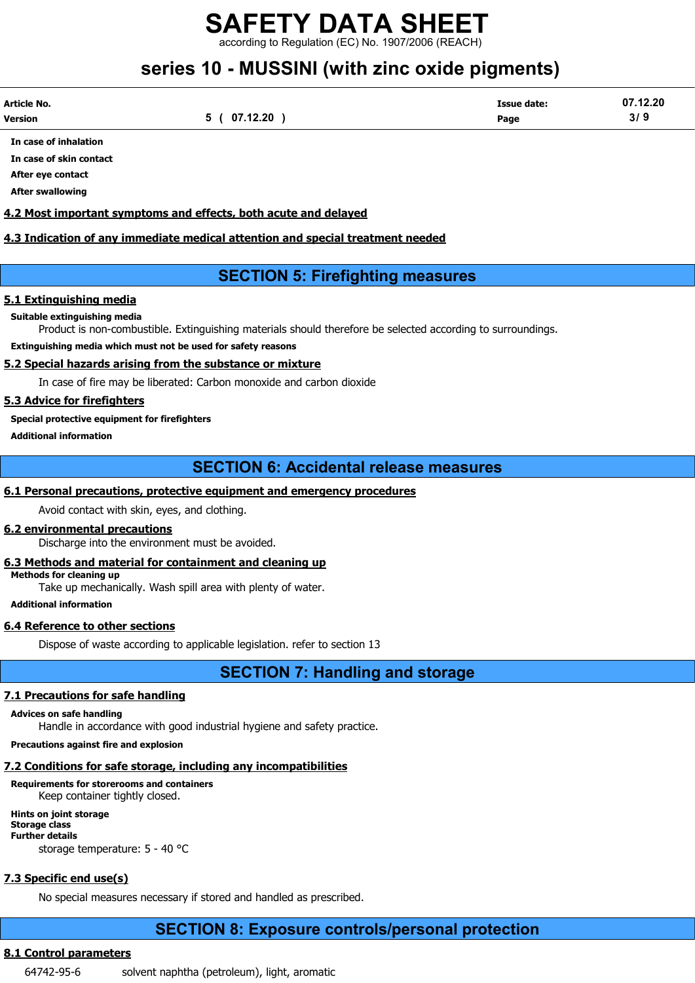according to Regulation (EC) No. 1907/2006 (REACH)

# series 10 - MUSSINI (with zinc oxide pigments)

| Article No. |          | <b>Issue date:</b> | 07.12.20 |
|-------------|----------|--------------------|----------|
| Version     | 07.12.20 | Page               | 3/       |

In case of inhalation

In case of skin contact After eye contact

After swallowing

### 4.2 Most important symptoms and effects, both acute and delayed

### 4.3 Indication of any immediate medical attention and special treatment needed

### SECTION 5: Firefighting measures

### 5.1 Extinguishing media

### Suitable extinguishing media

Product is non-combustible. Extinguishing materials should therefore be selected according to surroundings.

### Extinguishing media which must not be used for safety reasons

### 5.2 Special hazards arising from the substance or mixture

In case of fire may be liberated: Carbon monoxide and carbon dioxide

### 5.3 Advice for firefighters

### Special protective equipment for firefighters

Additional information

### SECTION 6: Accidental release measures

### 6.1 Personal precautions, protective equipment and emergency procedures

Avoid contact with skin, eyes, and clothing.

### 6.2 environmental precautions

Discharge into the environment must be avoided.

### 6.3 Methods and material for containment and cleaning up

Methods for cleaning up

Take up mechanically. Wash spill area with plenty of water.

Additional information

### 6.4 Reference to other sections

Dispose of waste according to applicable legislation. refer to section 13

## SECTION 7: Handling and storage

### 7.1 Precautions for safe handling

Advices on safe handling

Handle in accordance with good industrial hygiene and safety practice.

Precautions against fire and explosion

### 7.2 Conditions for safe storage, including any incompatibilities

### Requirements for storerooms and containers Keep container tightly closed.

Hints on joint storage Storage class Further details storage temperature: 5 - 40 °C

# 7.3 Specific end use(s)

No special measures necessary if stored and handled as prescribed.

## SECTION 8: Exposure controls/personal protection

### 8.1 Control parameters

64742-95-6 solvent naphtha (petroleum), light, aromatic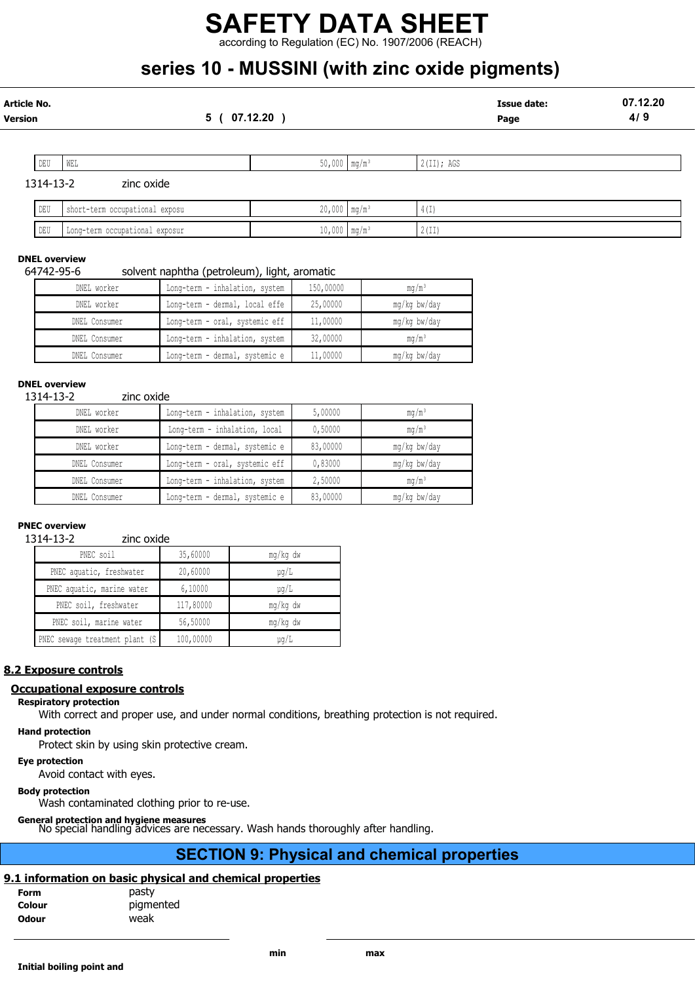according to Regulation (EC) No. 1907/2006 (REACH)

# series 10 - MUSSINI (with zinc oxide pigments)

| Article No.<br>Version |           | 5 (                            | 07.12.20                   | <b>Issue date:</b><br>Page | 07.12.20<br>4/9 |
|------------------------|-----------|--------------------------------|----------------------------|----------------------------|-----------------|
|                        | DEU       | WEL                            | $50,000$ mg/m <sup>3</sup> | 2(II); AGS                 |                 |
|                        | 1314-13-2 | zinc oxide                     |                            |                            |                 |
|                        | DEU       | short-term occupational exposu | $20,000$ mg/m <sup>3</sup> | 4(I)                       |                 |
|                        | DEU       | Long-term occupational exposur | $10,000$ mg/m <sup>3</sup> | 2(II)                      |                 |

### DNEL overview

### 64742-95-6 solvent naphtha (petroleum), light, aromatic

| DNEL worker   | Long-term - inhalation, system | 150,00000 | ma/m <sup>3</sup> |
|---------------|--------------------------------|-----------|-------------------|
| DNEL worker   | Long-term - dermal, local effe | 25,00000  | mg/kg bw/day      |
| DNEL Consumer | Long-term - oral, systemic eff | 11,00000  | mg/kg bw/day      |
| DNEL Consumer | Long-term - inhalation, system | 32,00000  | $mq/m^3$          |
| DNEL Consumer | Long-term - dermal, systemic e | 11,00000  | mg/kg bw/day      |

#### DNEL overview

1314-13-2 zinc oxide

| DNEL worker   | Long-term - inhalation, system | 5,00000  | mq/m <sup>3</sup> |  |  |  |
|---------------|--------------------------------|----------|-------------------|--|--|--|
| DNEL worker   | Long-term - inhalation, local  | 0,50000  | $mq/m^3$          |  |  |  |
| DNEL worker   | Long-term - dermal, systemic e | 83,00000 | mg/kg bw/day      |  |  |  |
| DNEL Consumer | Long-term - oral, systemic eff | 0,83000  | mg/kg bw/day      |  |  |  |
| DNEL Consumer | Long-term - inhalation, system | 2,50000  | $mq/m^3$          |  |  |  |
| DNEL Consumer | Long-term - dermal, systemic e | 83,00000 | mg/kg bw/day      |  |  |  |

### PNEC overview

1314-13-2 zinc oxide

| PNEC soil                       | 35,60000  | mg/kg dw  |
|---------------------------------|-----------|-----------|
| PNEC aquatic, freshwater        | 20,60000  | $\mu$ q/L |
| PNEC aquatic, marine water      | 6,10000   | $\mu$ q/L |
| PNEC soil, freshwater           | 117,80000 | mg/kg dw  |
| PNEC soil, marine water         | 56,50000  | mg/kg dw  |
| PNEC sewage treatment plant (S) | 100,00000 | $\mu$ q/L |

### 8.2 Exposure controls

### Occupational exposure controls

### Respiratory protection

With correct and proper use, and under normal conditions, breathing protection is not required.

### Hand protection

Protect skin by using skin protective cream.

#### Eye protection

Avoid contact with eyes.

### Body protection

Wash contaminated clothing prior to re-use.

General protection and hygiene measures No special handling advices are necessary. Wash hands thoroughly after handling.

### SECTION 9: Physical and chemical properties

### 9.1 information on basic physical and chemical properties

| <b>Form</b>  | pasty     |
|--------------|-----------|
| Colour       | pigmented |
| <b>Odour</b> | weak      |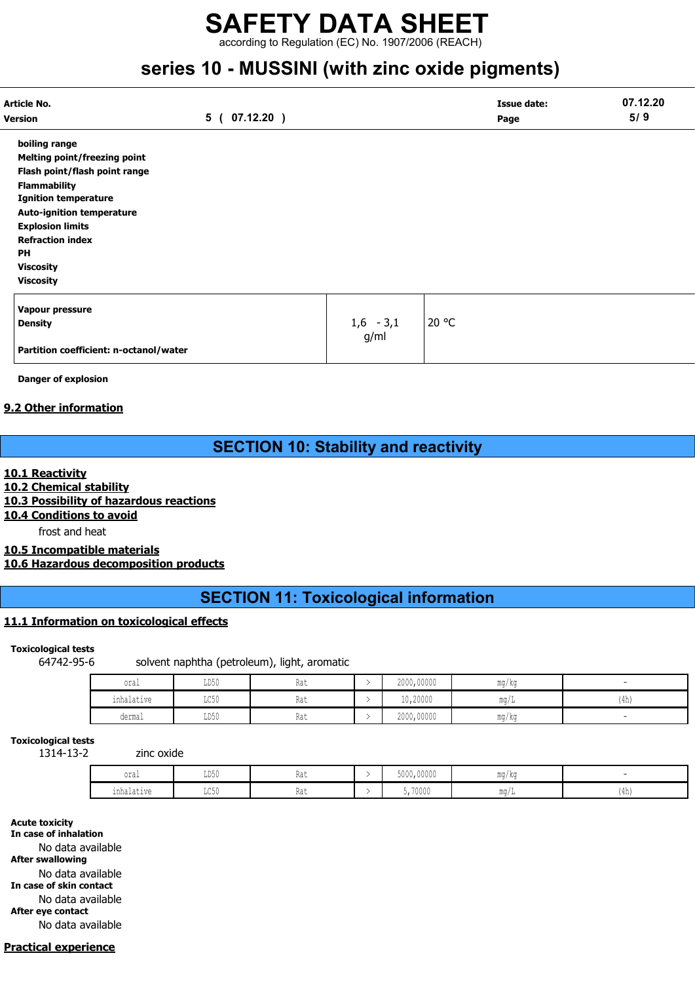according to Regulation (EC) No. 1907/2006 (REACH)

# series 10 - MUSSINI (with zinc oxide pigments)

| Article No.                            |                  |             | <b>Issue date:</b> | 07.12.20 |
|----------------------------------------|------------------|-------------|--------------------|----------|
| <b>Version</b>                         | 07.12.20)<br>5 ( |             | Page               | 5/9      |
| boiling range                          |                  |             |                    |          |
| <b>Melting point/freezing point</b>    |                  |             |                    |          |
| Flash point/flash point range          |                  |             |                    |          |
| <b>Flammability</b>                    |                  |             |                    |          |
| <b>Ignition temperature</b>            |                  |             |                    |          |
| <b>Auto-ignition temperature</b>       |                  |             |                    |          |
| <b>Explosion limits</b>                |                  |             |                    |          |
| <b>Refraction index</b>                |                  |             |                    |          |
| PH                                     |                  |             |                    |          |
| <b>Viscosity</b>                       |                  |             |                    |          |
| <b>Viscosity</b>                       |                  |             |                    |          |
| Vapour pressure                        |                  |             |                    |          |
| <b>Density</b>                         |                  | $1,6 - 3,1$ | 20 °C              |          |
|                                        |                  | g/ml        |                    |          |
| Partition coefficient: n-octanol/water |                  |             |                    |          |

Danger of explosion

### 9.2 Other information

# SECTION 10: Stability and reactivity

### 10.1 Reactivity

10.2 Chemical stability

10.3 Possibility of hazardous reactions

## 10.4 Conditions to avoid

frost and heat

### 10.5 Incompatible materials 10.6 Hazardous decomposition products

# SECTION 11: Toxicological information

### 11.1 Information on toxicological effects

### Toxicological tests

64742-95-6 solvent naphtha (petroleum), light, aromatic

| oral       | TDE0<br>∪טעם              | 11 U U          | 2000,00000 | ma/ka |      |
|------------|---------------------------|-----------------|------------|-------|------|
| inhalative | $T \cap E \cap$<br>⊔∪ J∪  | na l            | 10,20000   | mg/L  | (4h) |
| dermal     | T <sub>D</sub> 50<br>∪∪עע | $\sim$<br>.na l | 2000,00000 | mg/kg |      |

### Toxicological tests

1314-13-2 zinc oxide

| oral              | T R R<br>1151<br><b>TANA</b>    | 1100     | 5000,00000 | ma/ka                |    |
|-------------------|---------------------------------|----------|------------|----------------------|----|
| . .<br>inhalative | $T \cap E \cap$<br><b>⊔∪∪</b> ⊔ | $1100 -$ | 5,70000    | $m \sim$<br>IIIU / . | 4h |

Acute toxicity In case of inhalation

No data available After swallowing

No data available

In case of skin contact

No data available

After eye contact

No data available

### Practical experience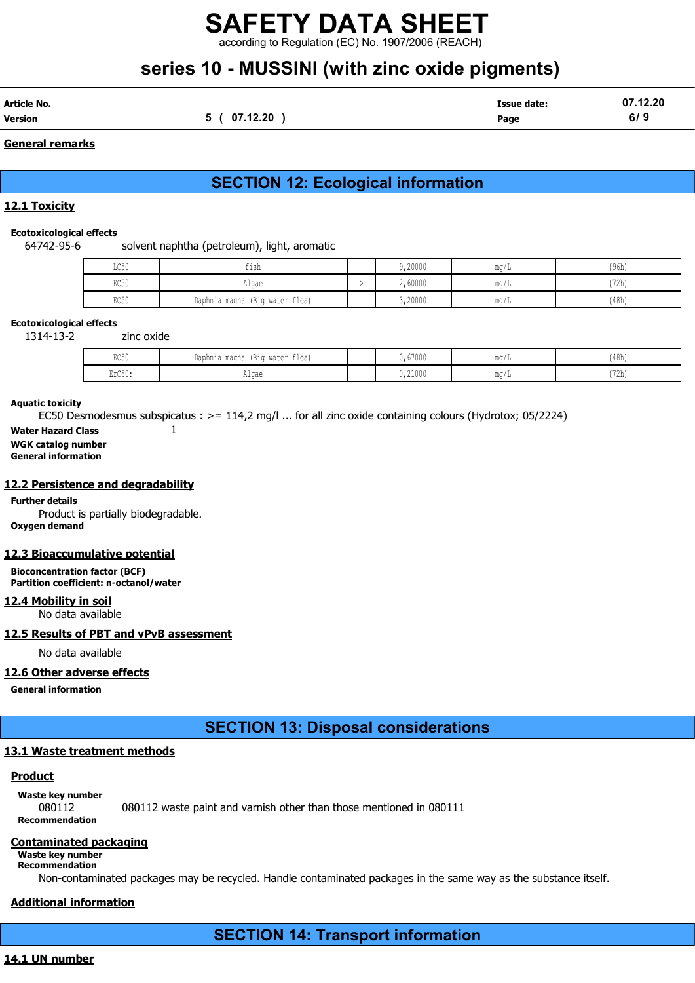according to Regulation (EC) No. 1907/2006 (REACH)

# series 10 - MUSSINI (with zinc oxide pigments)

| Article No. |                | <b>Issue date:</b> | 07.12.20 |
|-------------|----------------|--------------------|----------|
| Version     | 07.12.20<br>э. | Page               | 6/9      |

### General remarks

# SECTION 12: Ecological information

### 12.1 Toxicity

### Ecotoxicological effects

64742-95-6 solvent naphtha (petroleum), light, aromatic

| LC50 | $-1$<br>fish                      | 9,20000 | ma/i | (96h) |
|------|-----------------------------------|---------|------|-------|
| EC50 | Algae                             | 2,60000 | mq/1 | (72h) |
| EC50 | (Big water flea)<br>Daphnia magna | 3,20000 | mq/  | (48h) |

### Ecotoxicological effects

1314-13-2 zinc oxide

| <b>DOE</b><br>じししり | Daphnia magna (Big water flea) | 0,67000          | $\cdots$ | (48h) |
|--------------------|--------------------------------|------------------|----------|-------|
| 2rC50<br>LLVJV.    | $\sim$ $\sim$ $\sim$<br>TIL YU | 21000<br>U,ZIUUU |          | (72h) |

### Aquatic toxicity

EC50 Desmodesmus subspicatus : >= 114,2 mg/l ... for all zinc oxide containing colours (Hydrotox; 05/2224)

Water Hazard Class 1

WGK catalog number General information

## 12.2 Persistence and degradability

Further details Product is partially biodegradable. Oxygen demand

### 12.3 Bioaccumulative potential

Bioconcentration factor (BCF) Partition coefficient: n-octanol/water

### 12.4 Mobility in soil

No data available

### 12.5 Results of PBT and vPvB assessment

No data available

### 12.6 Other adverse effects

General information

## SECTION 13: Disposal considerations

### 13.1 Waste treatment methods

### Product

Waste key number

080112 080112 waste paint and varnish other than those mentioned in 080111

### Recommendation

### Contaminated packaging

Waste key number Recommendation

Non-contaminated packages may be recycled. Handle contaminated packages in the same way as the substance itself.

### Additional information

SECTION 14: Transport information

### 14.1 UN number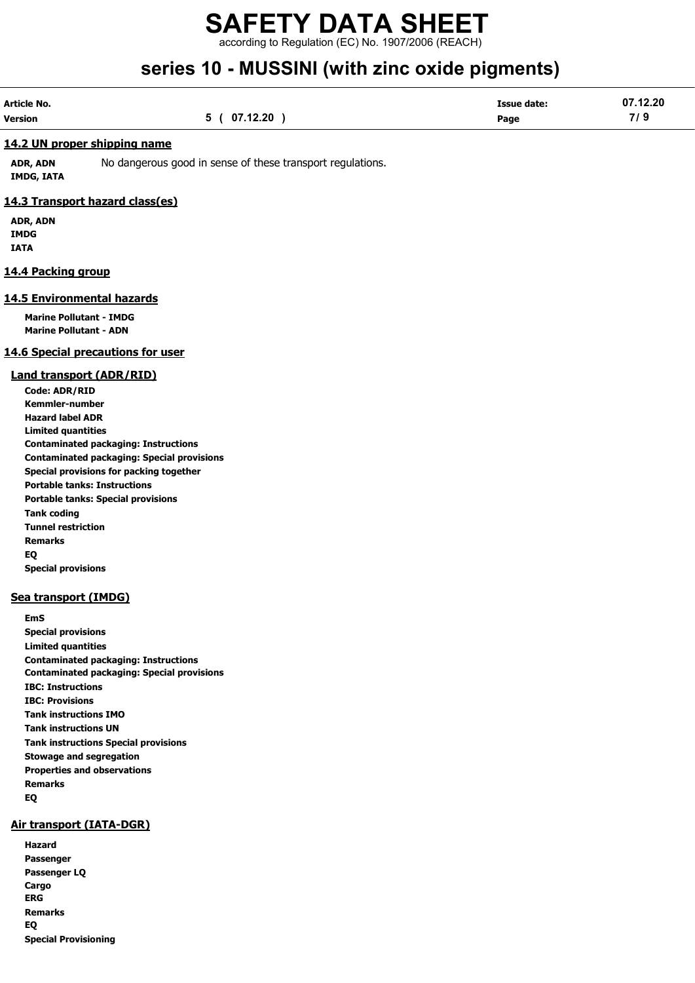according to Regulation (EC) No. 1907/2006 (REACH)

# series 10 - MUSSINI (with zinc oxide pigments)

| Article No.    |             | <b>Issue date:</b> | 07.12.20 |
|----------------|-------------|--------------------|----------|
| <b>Version</b> | 5(07.12.20) | Page               | 7/9      |

### 14.2 UN proper shipping name

ADR, ADN No dangerous good in sense of these transport regulations. IMDG, IATA

### 14.3 Transport hazard class(es)

ADR, ADN IMDG IATA

### 14.4 Packing group

### 14.5 Environmental hazards

Marine Pollutant - IMDG Marine Pollutant - ADN

### 14.6 Special precautions for user

### Land transport (ADR/RID)

Code: ADR/RID Kemmler-number Hazard label ADR Limited quantities Contaminated packaging: Instructions Contaminated packaging: Special provisions Special provisions for packing together Portable tanks: Instructions Portable tanks: Special provisions Tank coding Tunnel restriction Remarks EQ Special provisions

### Sea transport (IMDG)

EmS Special provisions Limited quantities Contaminated packaging: Instructions Contaminated packaging: Special provisions IBC: Instructions IBC: Provisions Tank instructions IMO Tank instructions UN Tank instructions Special provisions Stowage and segregation Properties and observations Remarks EQ

### Air transport (IATA-DGR)

| Hazard                      |
|-----------------------------|
| Passenger                   |
| Passenger LQ                |
| Cargo                       |
| <b>ERG</b>                  |
| <b>Remarks</b>              |
| EO                          |
| <b>Special Provisioning</b> |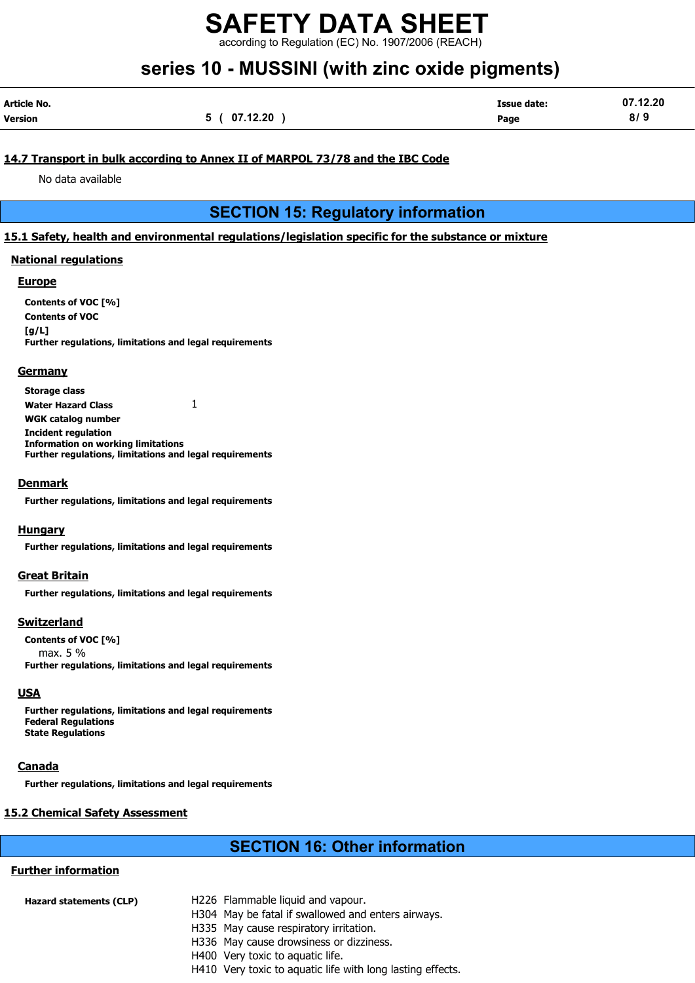according to Regulation (EC) No. 1907/2006 (REACH)

# series 10 - MUSSINI (with zinc oxide pigments)

| Article No. |              | <b>Issue date:</b> | 07.12.20 |
|-------------|--------------|--------------------|----------|
| Version     | 5 ( 07.12.20 | Page               | 8/9      |

### 14.7 Transport in bulk according to Annex II of MARPOL 73/78 and the IBC Code

No data available

### SECTION 15: Regulatory information

### 15.1 Safety, health and environmental regulations/legislation specific for the substance or mixture

### National regulations

### Europe

Contents of VOC [%] Contents of VOC  $[a/L]$ Further regulations, limitations and legal requirements

### **Germany**

Storage class Water Hazard Class  $1$ WGK catalog number Incident regulation Information on working limitations Further regulations, limitations and legal requirements

### **Denmark**

Further regulations, limitations and legal requirements

### **Hungary**

Further regulations, limitations and legal requirements

### Great Britain

Further regulations, limitations and legal requirements

### Switzerland

Contents of VOC [%] max. 5 % Further regulations, limitations and legal requirements

### **USA**

Further regulations, limitations and legal requirements Federal Regulations State Regulations

### Canada

Further regulations, limitations and legal requirements

### 15.2 Chemical Safety Assessment

### SECTION 16: Other information

### Further information

| H226 Flammable liquid and vapour.                  |
|----------------------------------------------------|
| H304 May be fatal if swallowed and enters airways. |
| H335 May cause respiratory irritation.             |
| H336 May cause drowsiness or dizziness.            |
| H400 Very toxic to aquatic life.                   |
|                                                    |

H410 Very toxic to aquatic life with long lasting effects.